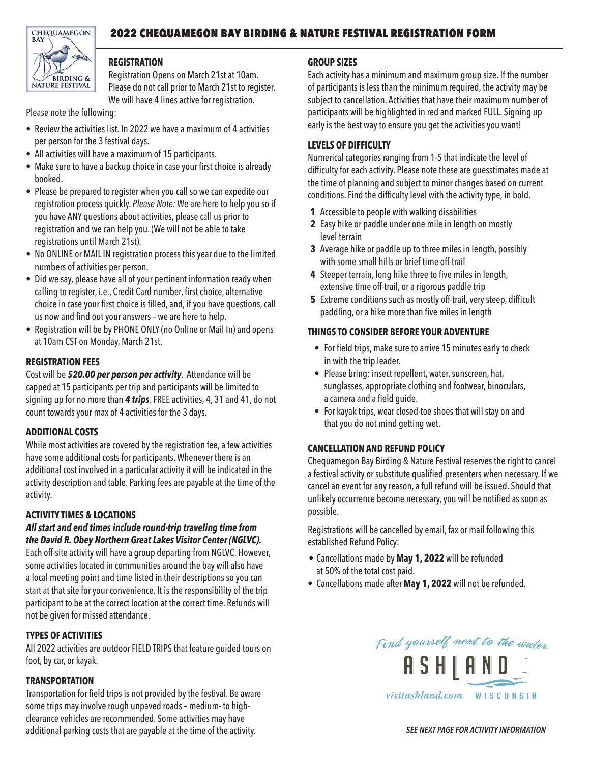# 2022 CHEQUAMEGON BAY BIRDING & NATURE FESTIVAL REGISTRATION FORM



### **REGISTRATION**

Registration Opens on March 21st at 10am. Please do not call prior to March 21st to register. We will have 4 lines active for registration.

Please note the following:

- Review the activities list. In 2022 we have a maximum of 4 activities per person for the 3 festival days.
- All activities will have a maximum of 15 participants.
- Make sure to have a backup choice in case your first choice is already booked.
- Please be prepared to register when you call so we can expedite our registration process quickly. *Please Note:* We are here to help you so if you have ANY questions about activities, please call us prior to registration and we can help you. (We will not be able to take registrations until March 21st).
- No ONLINE or MAIL IN registration process this year due to the limited numbers of activities per person.
- Did we say, please have all of your pertinent information ready when calling to register, i.e., Credit Card number, first choice, alternative choice in case your first choice is filled, and, if you have questions, call us now and find out your answers - we are here to help.
- Registration will be by PHONE ONLY (no Online or Mail In) and opens at 10am CST on Monday, March 21st.

# **REGISTRATION FEES**

Cost will be *\$20.00 per person per activity*. Attendance will be capped at 15 participants per trip and participants will be limited to signing up for no more than *4 trips*. FREE activities, 4, 31 and 41, do not count towards your max of 4 activities for the 3 days.

# **ADDITIONAL COSTS**

While most activities are covered by the registration fee, a few activities have some additional costs for participants. Whenever there is an additional cost involved in a particular activity it will be indicated in the activity description and table. Parking fees are payable at the time of the activity.

# **ACTIVITY TIMES & LOCATIONS**

#### *All start and end times include round-trip traveling time from the David R. Obey Northern Great Lakes Visitor Center (NGLVC).*

Each off-site activity will have a group departing from NGLVC. However, some activities located in communities around the bay will also have a local meeting point and time listed in their descriptions so you can start at that site for your convenience. It is the responsibility of the trip participant to be at the correct location at the correct time. Refunds will not be given for missed attendance.

# **TYPES OF ACTIVITIES**

All 2022 activities are outdoor FIELD TRIPS that feature guided tours on foot, by car, or kayak.

### **TRANSPORTATION**

Transportation for field trips is not provided bythe festival. Be aware some trips mayinvolve rough unpaved roads – medium- to highclearance vehicles are recommended. Some activities may have additional parking costs that are payable at the time of the activity.

# **GROUP SIZES**

Each activity has a minimum and maximum group size. If the number of participants is less than the minimum required, the activity may be subject to cancellation. Activities that have their maximum number of participants will be highlighted in red and marked FULL. Signing up early is the best way to ensure you get the activities you want!

### **LEVELS OF DIFFICULTY**

Numerical categories ranging from 1-5 that indicate the level of difficulty for each activity. Please note these are quesstimates made at the time of planning and subject to minor changes based on current conditions. Find the difficulty level with the activity type, in bold.

- **1** Accessible to people with walking disabilities
- **2** Easy hike or paddle under one mile in length on mostly level terrain
- **3** Average hike or paddle up to three miles in length, possibly with some small hills or brief time off-trail
- **4** Steeper terrain, long hike three to five miles in length, extensive time off-trail, or a rigorous paddle trip
- **5** Extreme conditions such as mostly off-trail, very steep, difficult paddling, or a hike more than five miles in length

### **THINGS TO CONSIDER BEFORE YOUR ADVENTURE**

- For field trips, make sure to arrive 15 minutes early to check in with the trip leader.
- Please bring: insect repellent, water, sunscreen, hat, sunglasses, appropriate clothing and footwear, binoculars, a camera and a field guide.
- For kayak trips, wear closed-toe shoes that will stay on and that you do not mind getting wet.

### **CANCELLATION AND REFUND POLICY**

Chequamegon Bay Birding & Nature Festival reserves the right to cancel a festival activity or substitute qualified presenters when necessary. If we cancel an event for any reason, a full refund will be issued. Should that unlikely occurrence become necessary, you will be notified as soon as possible.

Registrations will be cancelled by email, fax or mail following this established Refund Policy:

- Cancellations made by **May 1, 2022** will be refunded at 50% of the total cost paid.
- Cancellations made after **May 1, 2022** will not be refunded.